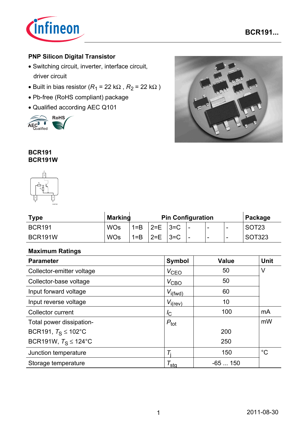

### **PNP Silicon Digital Transistor**

- Switching circuit, inverter, interface circuit, driver circuit
- Built in bias resistor ( $R_1$  = 22 k $\Omega$ ,  $R_2$  = 22 k $\Omega$ )
- Pb-free (RoHS compliant) package
- Qualified according AEC Q101





#### **BCR191 BCR191W**



| <b>Type</b>   | <b>Marking</b> | <b>Pin Configuration</b> |            |       |                          |   | Package                  |                   |
|---------------|----------------|--------------------------|------------|-------|--------------------------|---|--------------------------|-------------------|
| <b>BCR191</b> | <b>WOs</b>     | $1 = B$                  | $ 2=E 3=C$ |       | -                        | - | $\overline{\phantom{0}}$ | SOT <sub>23</sub> |
| BCR191W       | <b>WOs</b>     | $1 = B$                  | $2=E$      | $3=C$ | $\overline{\phantom{0}}$ | - | -                        | SOT323            |

### **Maximum Ratings**

| <b>Parameter</b>                | <b>Symbol</b>         | <b>Value</b> | <b>Unit</b> |
|---------------------------------|-----------------------|--------------|-------------|
| Collector-emitter voltage       | $V_{\text{CEO}}$      | 50           | V           |
| Collector-base voltage          | $V_{\text{CBO}}$      | 50           |             |
| Input forward voltage           | $V_{i(fwd)}$          | 60           |             |
| Input reverse voltage           | $V_{i(rev)}$          | 10           |             |
| <b>Collector current</b>        | $I_{\rm C}$           | 100          | mA          |
| Total power dissipation-        | $P_{\text{tot}}$      |              | mW          |
| BCR191, $T_S \le 102^{\circ}$ C |                       | 200          |             |
| BCR191W, $T_S \le 124$ °C       |                       | 250          |             |
| Junction temperature            |                       | 150          | $^{\circ}C$ |
| Storage temperature             | $\tau_{\mathsf{sta}}$ | $-65150$     |             |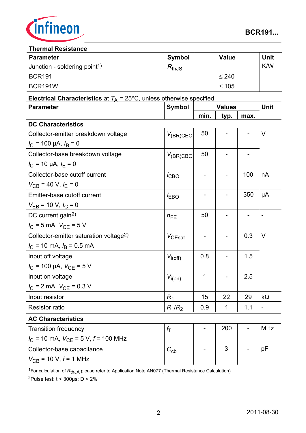

#### **Thermal Resistance**

| <b>Parameter</b>                         | <b>Symbol</b> | <b>Value</b> | Unit       |  |  |  |  |
|------------------------------------------|---------------|--------------|------------|--|--|--|--|
| Junction - soldering point <sup>1)</sup> | $R_{thJS}$    |              | <b>K/W</b> |  |  |  |  |
| <b>BCR191</b>                            |               | $\leq 240$   |            |  |  |  |  |
| BCR191W                                  |               | $\leq 105$   |            |  |  |  |  |

## **Electrical Characteristics** at  $T_A = 25^\circ \text{C}$ , unless otherwise specified

| <b>Parameter</b>                                       | <b>Symbol</b><br><b>Values</b> |                          |             | <b>Unit</b> |               |
|--------------------------------------------------------|--------------------------------|--------------------------|-------------|-------------|---------------|
|                                                        |                                | min.                     | typ.        | max.        |               |
| <b>DC Characteristics</b>                              |                                |                          |             |             |               |
| Collector-emitter breakdown voltage                    | $V_{(BR)CEO}$                  | 50                       |             |             | V             |
| $I_C$ = 100 µA, $I_B$ = 0                              |                                |                          |             |             |               |
| Collector-base breakdown voltage                       | $V_{(BR)CBO}$                  | 50                       |             |             |               |
| $I_{\rm C}$ = 10 µA, $I_{\rm E}$ = 0                   |                                |                          |             |             |               |
| Collector-base cutoff current                          | $I_{CBO}$                      |                          |             | 100         | nA            |
| $V_{CB}$ = 40 V, $I_E$ = 0                             |                                |                          |             |             |               |
| Emitter-base cutoff current                            | <b>EBO</b>                     | $\overline{\phantom{a}}$ |             | 350         | μA            |
| $V_{EB}$ = 10 V, $I_C$ = 0                             |                                |                          |             |             |               |
| DC current gain <sup>2)</sup>                          | $h_{FE}$                       | 50                       |             |             | $\frac{1}{2}$ |
| $I_{\rm C}$ = 5 mA, $V_{\rm CE}$ = 5 V                 |                                |                          |             |             |               |
| Collector-emitter saturation voltage <sup>2)</sup>     | $V_{CEsat}$                    | $\qquad \qquad -$        |             | 0.3         | $\vee$        |
| $I_{\rm C}$ = 10 mA, $I_{\rm B}$ = 0.5 mA              |                                |                          |             |             |               |
| Input off voltage                                      | $V_{i(off)}$                   | 0.8                      |             | 1.5         |               |
| $I_{\rm C}$ = 100 µA, $V_{\rm CE}$ = 5 V               |                                |                          |             |             |               |
| Input on voltage                                       | $V_{i(0n)}$                    | 1                        |             | 2.5         |               |
| $I_{\rm C}$ = 2 mA, $V_{\rm CE}$ = 0.3 V               |                                |                          |             |             |               |
| Input resistor                                         | $R_1$                          | 15                       | 22          | 29          | $k\Omega$     |
| <b>Resistor ratio</b>                                  | $R_1/R_2$                      | 0.9                      | $\mathbf 1$ | 1.1         |               |
| <b>AC Characteristics</b>                              |                                |                          |             |             |               |
| <b>Transition frequency</b>                            | $f_{\rm T}$                    | $\overline{\phantom{a}}$ | 200         |             | <b>MHz</b>    |
| $I_{\rm C}$ = 10 mA, $V_{\rm CE}$ = 5 V, $f$ = 100 MHz |                                |                          |             |             |               |
| Collector-base capacitance                             | $C_{\text{cb}}$                |                          | 3           |             | pF            |
| $V_{CB}$ = 10 V, $f$ = 1 MHz                           |                                |                          |             |             |               |

1For calculation of *R*thJA please refer to Application Note AN077 (Thermal Resistance Calculation)

 $2$ Pulse test:  $t < 300 \mu s$ ; D < 2%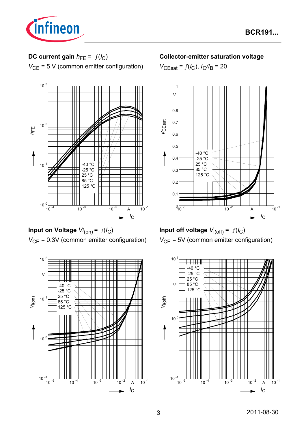

# **DC current gain**  $h_{FE} = f(l_C)$

*V*<sub>CE</sub> = 5 V (common emitter configuration)



**Input on Voltage** *Vi* (on) = ƒ(*I*C) *V*<sub>CE</sub> = 0.3V (common emitter configuration)



### **Collector-emitter saturation voltage**

 $V_{\text{CEsat}} = f(I_{\text{C}}), I_{\text{C}}/I_{\text{B}} = 20$ 





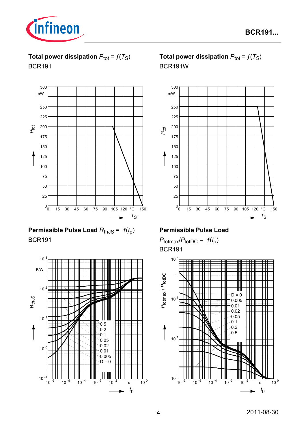

**Total power dissipation**  $P_{\text{tot}} = f(T_S)$ BCR191



# **Permissible Pulse Load**  $R_{th,JS} = f(t_p)$ BCR191



# **Total power dissipation**  $P_{\text{tot}} = f(T_S)$ BCR191W



## **Permissible Pulse Load**

 $P_{\text{totmax}}/P_{\text{totDC}} = f(t_p)$ BCR191

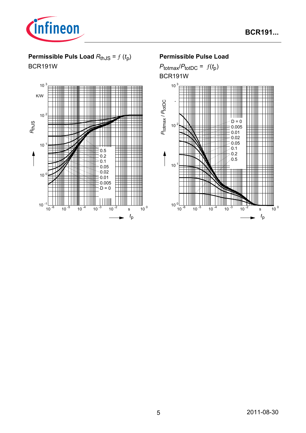

# **Permissible Puls Load**  $R_{th,JS} = f(t_p)$

BCR191W



## **Permissible Pulse Load**

 $P_{\text{totmax}}/P_{\text{totDC}} = f(t_p)$ BCR191W

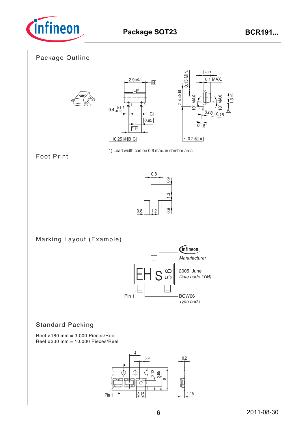

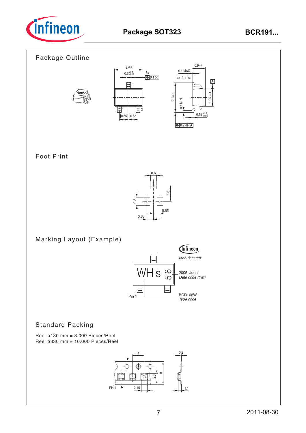